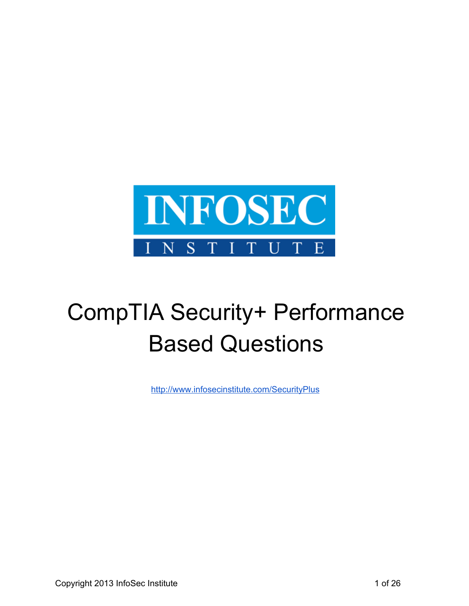

# CompTIA Security+ Performance Based Questions

[http://www.infosecinstitute.com/SecurityPlus](http://www.google.com/url?q=http%3A%2F%2Fwww.infosecinstitute.com%2FSecurityPlus&sa=D&sntz=1&usg=AFQjCNFELCTmo3V0yqhrbSC3G1hTYoMm6A)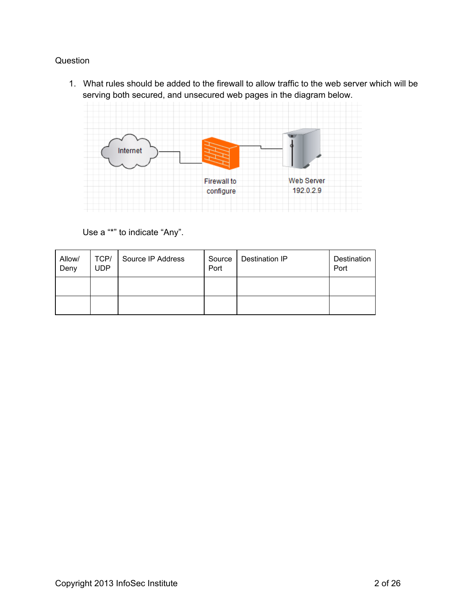1. What rules should be added to the firewall to allow traffic to the web server which will be serving both secured, and unsecured web pages in the diagram below.



Use a "\*" to indicate "Any".

| Allow/<br>Deny | TCP/<br><b>UDP</b> | Source IP Address | Source<br>Port | Destination IP | Destination<br>Port |
|----------------|--------------------|-------------------|----------------|----------------|---------------------|
|                |                    |                   |                |                |                     |
|                |                    |                   |                |                |                     |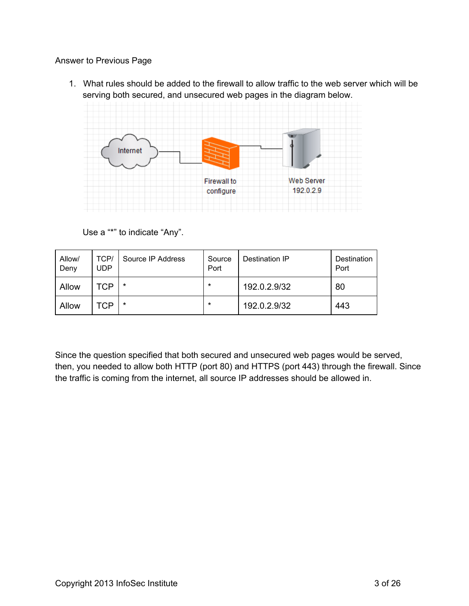1. What rules should be added to the firewall to allow traffic to the web server which will be serving both secured, and unsecured web pages in the diagram below.



Use a "\*" to indicate "Any".

| Allow/<br>Deny | TCP/<br><b>UDP</b> | Source IP Address | Source<br>Port | Destination IP | Destination<br>Port |
|----------------|--------------------|-------------------|----------------|----------------|---------------------|
| Allow          | TCP                | $\star$           | $\star$        | 192.0.2.9/32   | 80                  |
| Allow          | TCP                | $\star$           | $\star$        | 192.0.2.9/32   | 443                 |

Since the question specified that both secured and unsecured web pages would be served, then, you needed to allow both HTTP (port 80) and HTTPS (port 443) through the firewall. Since the traffic is coming from the internet, all source IP addresses should be allowed in.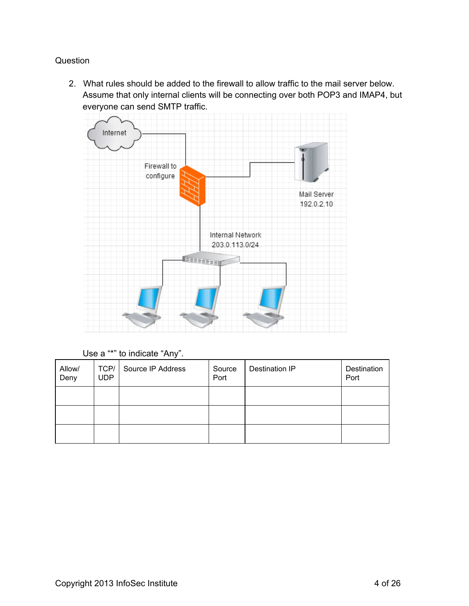2. What rules should be added to the firewall to allow traffic to the mail server below. Assume that only internal clients will be connecting over both POP3 and IMAP4, but everyone can send SMTP traffic.



Use a "\*" to indicate "Any".

| Allow/<br>Deny | TCP/<br><b>UDP</b> | Source IP Address | Source<br>Port | Destination IP | Destination<br>Port |
|----------------|--------------------|-------------------|----------------|----------------|---------------------|
|                |                    |                   |                |                |                     |
|                |                    |                   |                |                |                     |
|                |                    |                   |                |                |                     |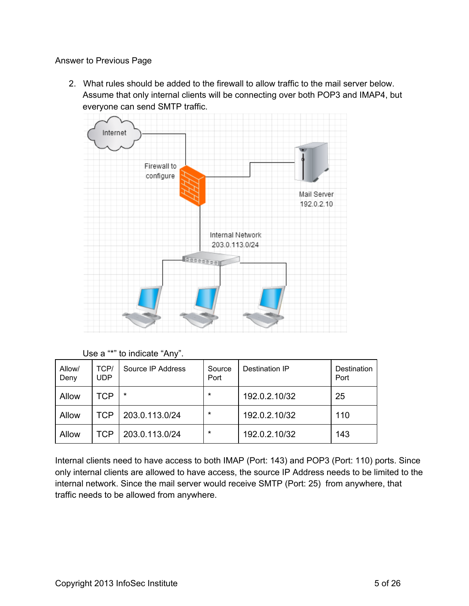2. What rules should be added to the firewall to allow traffic to the mail server below. Assume that only internal clients will be connecting over both POP3 and IMAP4, but everyone can send SMTP traffic.



Use a "\*" to indicate "Any".

| Allow/<br>Deny | TCP/<br>UDP | Source IP Address | Source<br>Port | Destination IP | Destination<br>Port |
|----------------|-------------|-------------------|----------------|----------------|---------------------|
| Allow          | TCP         | $\star$           | $\star$        | 192.0.2.10/32  | 25                  |
| Allow          | <b>TCP</b>  | 203.0.113.0/24    | $\star$        | 192.0.2.10/32  | 110                 |
| Allow          | TCP         | 203.0.113.0/24    | $\star$        | 192.0.2.10/32  | 143                 |

Internal clients need to have access to both IMAP (Port: 143) and POP3 (Port: 110) ports. Since only internal clients are allowed to have access, the source IP Address needs to be limited to the internal network. Since the mail server would receive SMTP (Port: 25) from anywhere, that traffic needs to be allowed from anywhere.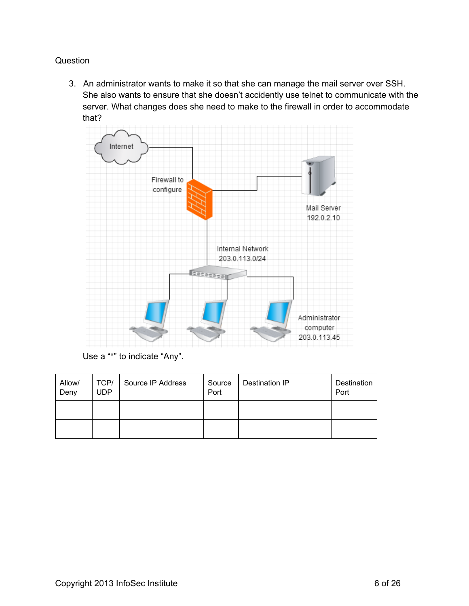3. An administrator wants to make it so that she can manage the mail server over SSH. She also wants to ensure that she doesn't accidently use telnet to communicate with the server. What changes does she need to make to the firewall in order to accommodate that?



Use a "\*" to indicate "Any".

| Allow/<br>Deny | TCP/<br><b>UDP</b> | Source IP Address | Source<br>Port | <b>Destination IP</b> | Destination<br>Port |
|----------------|--------------------|-------------------|----------------|-----------------------|---------------------|
|                |                    |                   |                |                       |                     |
|                |                    |                   |                |                       |                     |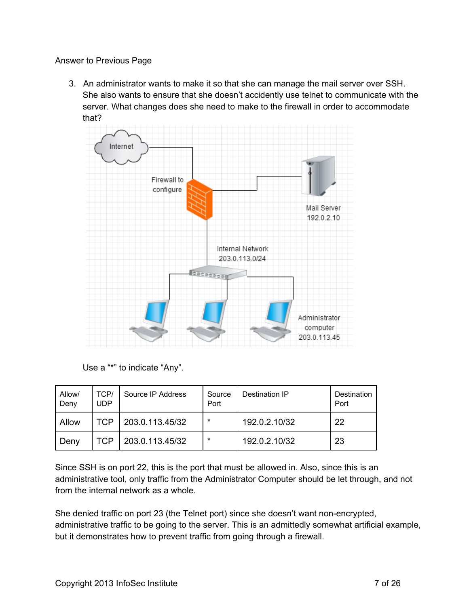3. An administrator wants to make it so that she can manage the mail server over SSH. She also wants to ensure that she doesn't accidently use telnet to communicate with the server. What changes does she need to make to the firewall in order to accommodate that?



Use a "\*" to indicate "Any".

| Allow/<br>Deny | TCP/<br><b>UDP</b> | Source IP Address | Source<br>Port | Destination IP | Destination<br>Port |
|----------------|--------------------|-------------------|----------------|----------------|---------------------|
| Allow          | TCP                | 203.0.113.45/32   | $\star$        | 192.0.2.10/32  | 22                  |
| Deny           | TCP                | 203.0.113.45/32   | $\star$        | 192.0.2.10/32  | 23                  |

Since SSH is on port 22, this is the port that must be allowed in. Also, since this is an administrative tool, only traffic from the Administrator Computer should be let through, and not from the internal network as a whole.

She denied traffic on port 23 (the Telnet port) since she doesn't want non-encrypted, administrative traffic to be going to the server. This is an admittedly somewhat artificial example, but it demonstrates how to prevent traffic from going through a firewall.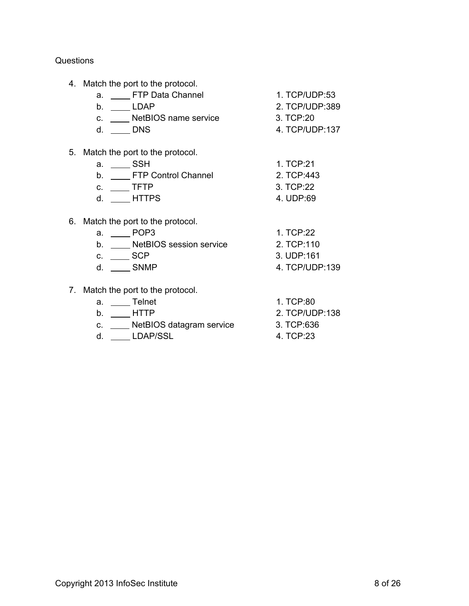4. Match the port to the protocol.

| а. | FTP Data Channel     | 1. TCP/UDP:53  |
|----|----------------------|----------------|
|    | I DAP.               | 2. TCP/UDP:389 |
|    | NetBIOS name service | 3. TCP:20      |
|    | DNS.                 | 4. TCP/UDP:137 |

- 
- 5. Match the port to the protocol.
	- a. SSH 1. TCP:21
	- b. FTP Control Channel 2. TCP:443
	- c. \_\_\_\_\_ TFTP 3. TCP:22
	- d. HTTPS 4. UDP:69
- 6. Match the port to the protocol.
	- a. <u>December 2014</u> 1. TCP:22
	- b. \_\_\_\_\_ NetBIOS session service 2. TCP:110
	- c. \_\_\_\_\_\_ SCP 3. UDP:161
	-
- 7. Match the port to the protocol.
	- a. <u>Telnet 1. TCP:80</u>
		-
	- c. \_\_\_\_ NetBIOS datagram service 3. TCP:636
	- d. \_\_\_\_\_ LDAP/SSL 4. TCP:23
- 
- -
	-
- d. \_\_\_\_\_\_ SNMP 4. TCP/UDP:139
	-
- b. \_\_\_\_ HTTP 2. TCP/UDP:138
	-
	-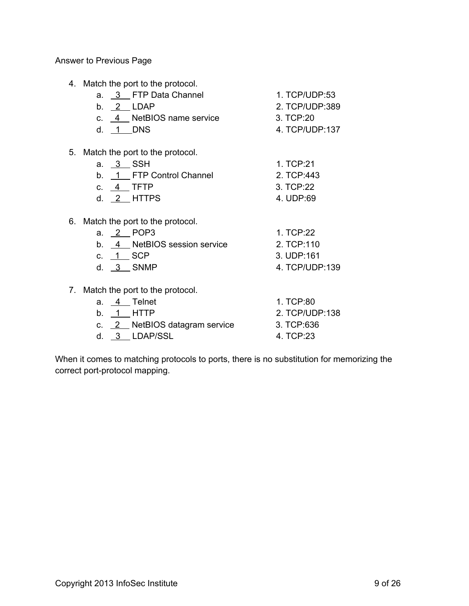4. Match the port to the protocol.

|    | where the point to the protocol. |                |
|----|----------------------------------|----------------|
|    | a. 3 FTP Data Channel            | 1. TCP/UDP:53  |
|    | b. 2 LDAP                        | 2. TCP/UDP:389 |
|    | c. 4 NetBIOS name service        | 3. TCP:20      |
|    | d. 1 DNS                         | 4. TCP/UDP:137 |
|    |                                  |                |
| 5. | Match the port to the protocol.  |                |
|    | a. 3 SSH                         | 1. TCP:21      |
|    | b. 1 FTP Control Channel         | 2. TCP:443     |
|    | c. 4 TFTP                        | 3. TCP:22      |
|    | d. $2$ HTTPS                     | 4. UDP:69      |
|    |                                  |                |
| 6. | Match the port to the protocol.  |                |
|    | 2 POP3<br>a.                     | 1. TCP:22      |
|    | 4 NetBIOS session service<br>b.  | 2. TCP:110     |
|    |                                  |                |

d. 3 SNMP 4. TCP/UDP:139

c. 1 SCP 3. UDP:161

7. Match the port to the protocol.

| э | Telnet |
|---|--------|
|   |        |

- 
- c. 2 NetBIOS datagram service 3. TCP:636
- d. 3 LDAP/SSL 4. TCP:23
- 1. TCP:80 b. 1 HTTP 2. TCP/UDP:138
	-
	-

When it comes to matching protocols to ports, there is no substitution for memorizing the correct port-protocol mapping.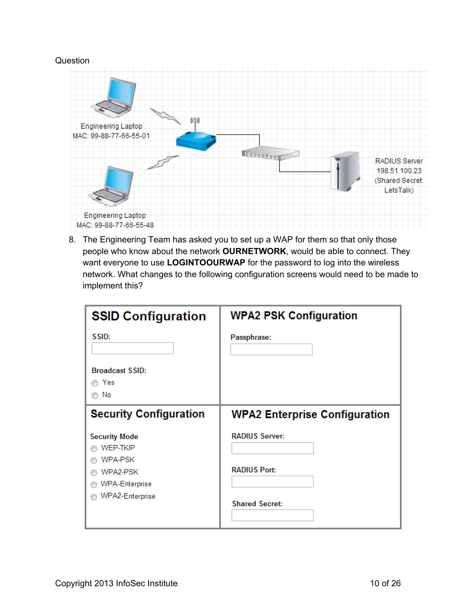

8. The Engineering Team has asked you to set up a WAP for them so that only those people who know about the network **OURNETWORK**, would be able to connect. They want everyone to use **LOGINTOOURWAP** for the password to log into the wireless network. What changes to the following configuration screens would need to be made to implement this?

| <b>SSID Configuration</b>     | <b>WPA2 PSK Configuration</b>        |
|-------------------------------|--------------------------------------|
| SSID:                         | Passphrase:                          |
| <b>Broadcast SSID:</b>        |                                      |
| Yes                           |                                      |
| No                            |                                      |
| <b>Security Configuration</b> | <b>WPA2 Enterprise Configuration</b> |
| <b>Security Mode</b>          | <b>RADIUS Server:</b>                |
| WEP-TKIP                      |                                      |
| WPA-PSK                       |                                      |
| WPA2-PSK                      | <b>RADIUS Port:</b>                  |
| <b>WPA-Enterprise</b>         |                                      |
| WPA2-Enterprise               | <b>Shared Secret:</b>                |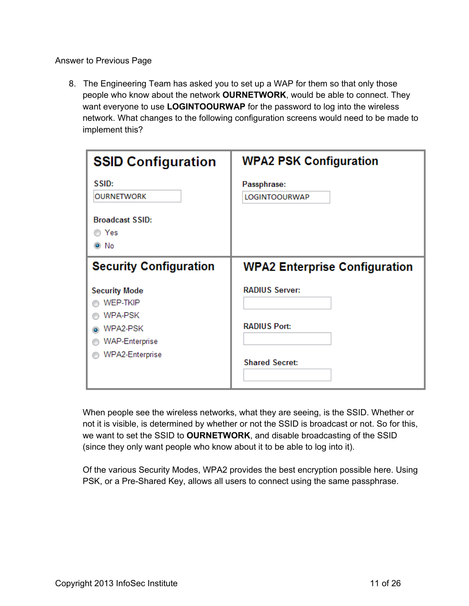8. The Engineering Team has asked you to set up a WAP for them so that only those people who know about the network **OURNETWORK**, would be able to connect. They want everyone to use **LOGINTOOURWAP** for the password to log into the wireless network. What changes to the following configuration screens would need to be made to implement this?

| <b>SSID Configuration</b>                                                                                               | <b>WPA2 PSK Configuration</b>                                         |
|-------------------------------------------------------------------------------------------------------------------------|-----------------------------------------------------------------------|
| SSID:<br><b>OURNETWORK</b>                                                                                              | Passphrase:<br><b>LOGINTOOURWAP</b>                                   |
| <b>Broadcast SSID:</b><br>in Yes∩<br>$\odot$ No                                                                         |                                                                       |
| <b>Security Configuration</b>                                                                                           | <b>WPA2 Enterprise Configuration</b>                                  |
| <b>Security Mode</b><br><b>WEP-TKIP</b><br>WPA-PSK<br>WPA2-PSK<br>$\bullet$<br><b>WAP-Enterprise</b><br>WPA2-Enterprise | <b>RADIUS Server:</b><br><b>RADIUS Port:</b><br><b>Shared Secret:</b> |

When people see the wireless networks, what they are seeing, is the SSID. Whether or not it is visible, is determined by whether or not the SSID is broadcast or not. So for this, we want to set the SSID to **OURNETWORK**, and disable broadcasting of the SSID (since they only want people who know about it to be able to log into it).

Of the various Security Modes, WPA2 provides the best encryption possible here. Using PSK, or a Pre-Shared Key, allows all users to connect using the same passphrase.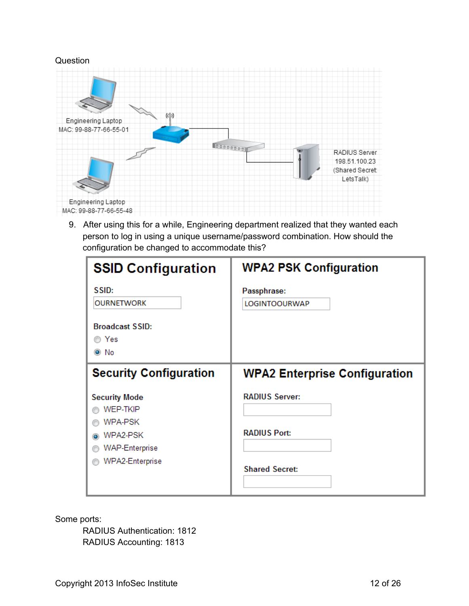

9. After using this for a while, Engineering department realized that they wanted each person to log in using a unique username/password combination. How should the configuration be changed to accommodate this?

| <b>SSID Configuration</b>                                                                                         | <b>WPA2 PSK Configuration</b>                                         |
|-------------------------------------------------------------------------------------------------------------------|-----------------------------------------------------------------------|
| SSID:<br><b>OURNETWORK</b>                                                                                        | Passphrase:<br><b>LOGINTOOURWAP</b>                                   |
| <b>Broadcast SSID:</b><br>iio Yes<br>$\odot$ No                                                                   |                                                                       |
| <b>Security Configuration</b>                                                                                     | <b>WPA2 Enterprise Configuration</b>                                  |
| <b>Security Mode</b><br><b>WEP-TKIP</b><br><b>WPA-PSK</b><br>WPA2-PSK<br><b>WAP-Enterprise</b><br>WPA2-Enterprise | <b>RADIUS Server:</b><br><b>RADIUS Port:</b><br><b>Shared Secret:</b> |

Some ports:

RADIUS Authentication: 1812 RADIUS Accounting: 1813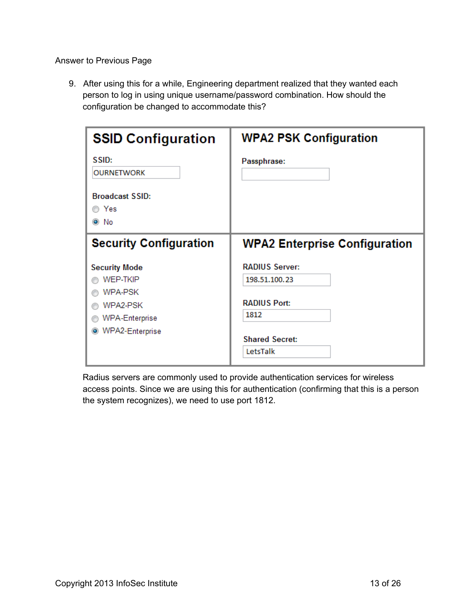9. After using this for a while, Engineering department realized that they wanted each person to log in using unique username/password combination. How should the configuration be changed to accommodate this?

| <b>SSID Configuration</b>                                       | <b>WPA2 PSK Configuration</b>                        |
|-----------------------------------------------------------------|------------------------------------------------------|
| SSID:<br><b>OURNETWORK</b>                                      | Passphrase:                                          |
| <b>Broadcast SSID:</b><br>◯ Yes<br>◉ No                         |                                                      |
| <b>Security Configuration</b>                                   | <b>WPA2 Enterprise Configuration</b>                 |
| <b>Security Mode</b><br><b>WEP-TKIP</b><br><b>WPA-PSK</b>       | <b>RADIUS Server:</b><br>198.51.100.23               |
| WPA2-PSK<br><b>WPA-Enterprise</b><br>WPA2-Enterprise<br>$\odot$ | <b>RADIUS Port:</b><br>1812<br><b>Shared Secret:</b> |
|                                                                 | LetsTalk                                             |

Radius servers are commonly used to provide authentication services for wireless access points. Since we are using this for authentication (confirming that this is a person the system recognizes), we need to use port 1812.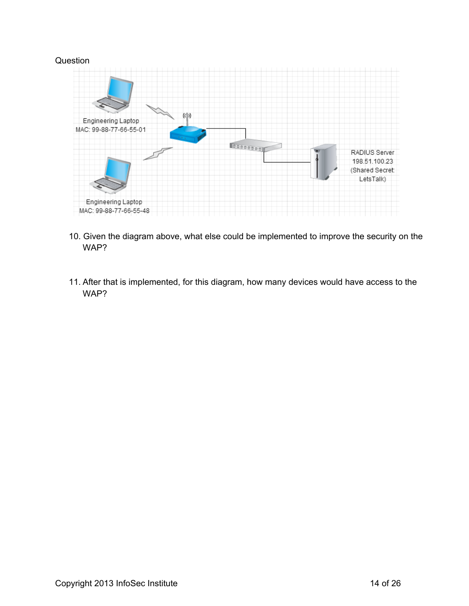

- 10. Given the diagram above, what else could be implemented to improve the security on the WAP?
- 11. After that is implemented, for this diagram, how many devices would have access to the WAP?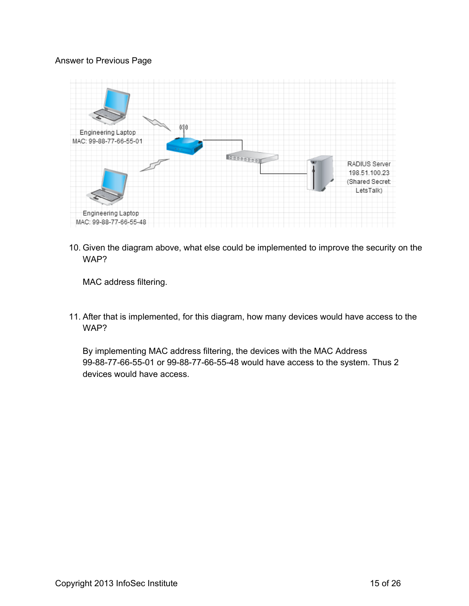

10. Given the diagram above, what else could be implemented to improve the security on the WAP?

MAC address filtering.

11. After that is implemented, for this diagram, how many devices would have access to the WAP?

By implementing MAC address filtering, the devices with the MAC Address 99-88-77-66-55-01 or 99-88-77-66-55-48 would have access to the system. Thus 2 devices would have access.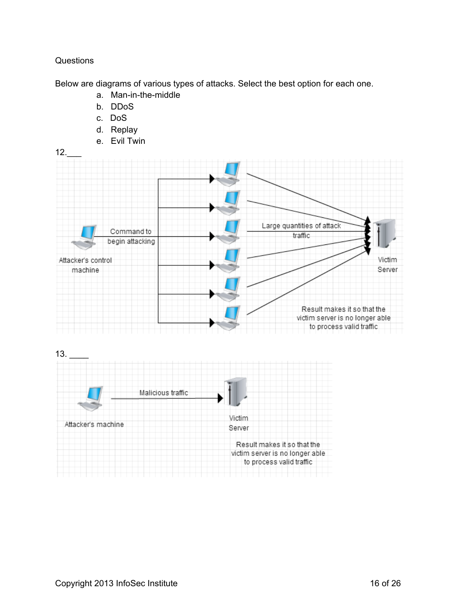Below are diagrams of various types of attacks. Select the best option for each one.

- a. Man-in-the-middle
- b. DDoS
- c. DoS
- d. Replay
- e. Evil Twin



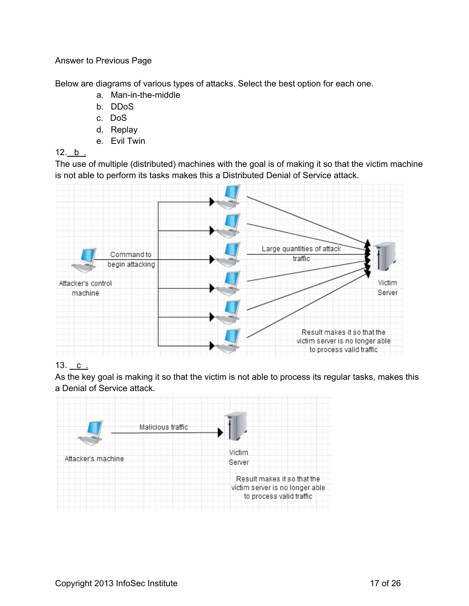Below are diagrams of various types of attacks. Select the best option for each one.

- a. Man-in-the-middle
- b. DDoS
- c. DoS
- d. Replay
- e. Evil Twin

## 12. b .

The use of multiple (distributed) machines with the goal is of making it so that the victim machine is not able to perform its tasks makes this a Distributed Denial of Service attack.



## 13.  $c_{.}$

As the key goal is making it so that the victim is not able to process its regular tasks, makes this a Denial of Service attack.

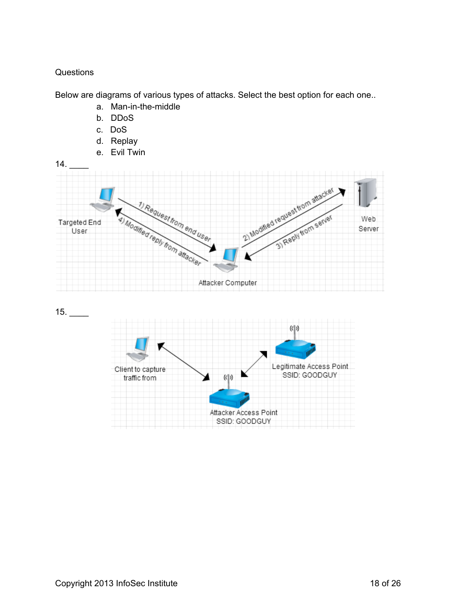Below are diagrams of various types of attacks. Select the best option for each one..

- a. Man-in-the-middle
- b. DDoS
- c. DoS
- d. Replay
- e. Evil Twin



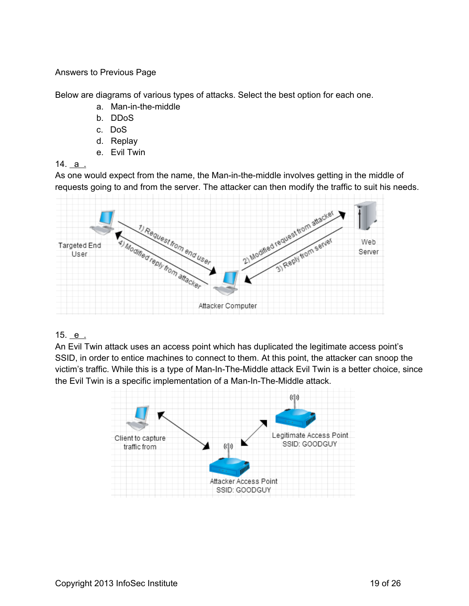Below are diagrams of various types of attacks. Select the best option for each one.

- a. Man-in-the-middle
- b. DDoS
- c. DoS
- d. Replay
- e. Evil Twin

14. a .

As one would expect from the name, the Man-in-the-middle involves getting in the middle of requests going to and from the server. The attacker can then modify the traffic to suit his needs.



## 15. e .

An Evil Twin attack uses an access point which has duplicated the legitimate access point's SSID, in order to entice machines to connect to them. At this point, the attacker can snoop the victim's traffic. While this is a type of Man-In-The-Middle attack Evil Twin is a better choice, since the Evil Twin is a specific implementation of a Man-In-The-Middle attack.

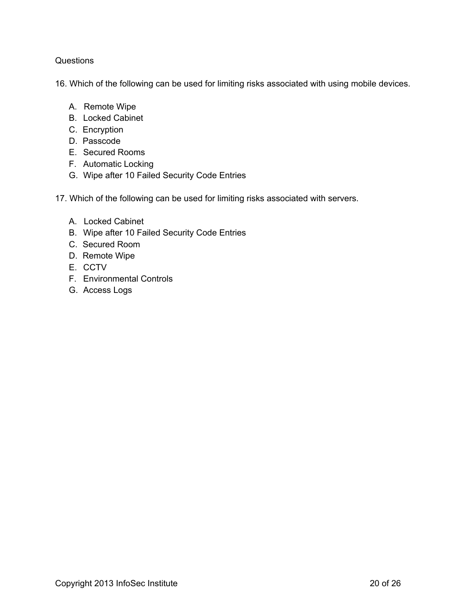16. Which of the following can be used for limiting risks associated with using mobile devices.

- A. Remote Wipe
- B. Locked Cabinet
- C. Encryption
- D. Passcode
- E. Secured Rooms
- F. Automatic Locking
- G. Wipe after 10 Failed Security Code Entries
- 17. Which of the following can be used for limiting risks associated with servers.
	- A. Locked Cabinet
	- B. Wipe after 10 Failed Security Code Entries
	- C. Secured Room
	- D. Remote Wipe
	- E. CCTV
	- F. Environmental Controls
	- G. Access Logs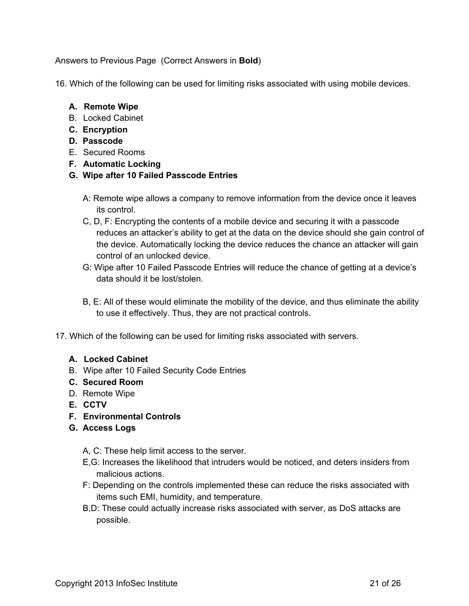Answers to Previous Page (Correct Answers in **Bold**)

16. Which of the following can be used for limiting risks associated with using mobile devices.

### **A. Remote Wipe**

- B. Locked Cabinet
- **C. Encryption**
- **D. Passcode**
- E. Secured Rooms
- **F. Automatic Locking**
- **G. Wipe after 10 Failed Passcode Entries**
	- A: Remote wipe allows a company to remove information from the device once it leaves its control.
	- C, D, F: Encrypting the contents of a mobile device and securing it with a passcode reduces an attacker's ability to get at the data on the device should she gain control of the device. Automatically locking the device reduces the chance an attacker will gain control of an unlocked device.
	- G: Wipe after 10 Failed Passcode Entries will reduce the chance of getting at a device's data should it be lost/stolen.
	- B, E: All of these would eliminate the mobility of the device, and thus eliminate the ability to use it effectively. Thus, they are not practical controls.
- 17. Which of the following can be used for limiting risks associated with servers.

## **A. Locked Cabinet**

B. Wipe after 10 Failed Security Code Entries

#### **C. Secured Room**

- D. Remote Wipe
- **E. CCTV**
- **F. Environmental Controls**
- **G. Access Logs**
	- A, C: These help limit access to the server.
	- E,G: Increases the likelihood that intruders would be noticed, and deters insiders from malicious actions.
	- F: Depending on the controls implemented these can reduce the risks associated with items such EMI, humidity, and temperature.
	- B,D: These could actually increase risks associated with server, as DoS attacks are possible.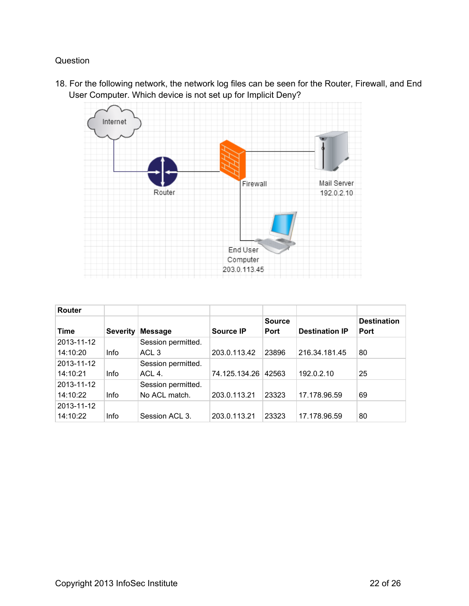18. For the following network, the network log files can be seen for the Router, Firewall, and End User Computer. Which device is not set up for Implicit Deny?



| Router     |                 |                    |                  |               |                       |                    |
|------------|-----------------|--------------------|------------------|---------------|-----------------------|--------------------|
|            |                 |                    |                  | <b>Source</b> |                       | <b>Destination</b> |
| Time       | <b>Severity</b> | <b>Message</b>     | <b>Source IP</b> | <b>Port</b>   | <b>Destination IP</b> | <b>Port</b>        |
| 2013-11-12 |                 | Session permitted. |                  |               |                       |                    |
| 14:10:20   | Info            | ACL <sub>3</sub>   | 203.0.113.42     | 23896         | 216.34.181.45         | 80                 |
| 2013-11-12 |                 | Session permitted. |                  |               |                       |                    |
| 14:10:21   | Info            | ACL 4.             | 74.125.134.26    | 42563         | 192.0.2.10            | 25                 |
| 2013-11-12 |                 | Session permitted. |                  |               |                       |                    |
| 14:10:22   | Info            | No ACL match.      | 203.0.113.21     | 23323         | 17.178.96.59          | 69                 |
| 2013-11-12 |                 |                    |                  |               |                       |                    |
| 14:10:22   | Info            | Session ACL 3.     | 203.0.113.21     | 23323         | 17.178.96.59          | 80                 |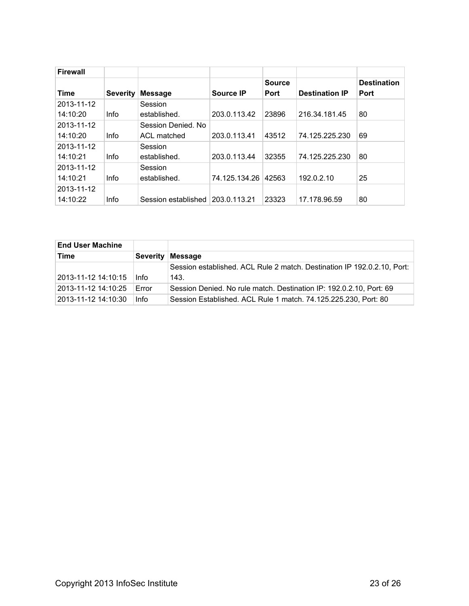| <b>Firewall</b> |                 |                     |                  |               |                       |                    |
|-----------------|-----------------|---------------------|------------------|---------------|-----------------------|--------------------|
|                 |                 |                     |                  | <b>Source</b> |                       | <b>Destination</b> |
| <b>Time</b>     | <b>Severity</b> | <b>Message</b>      | <b>Source IP</b> | <b>Port</b>   | <b>Destination IP</b> | <b>Port</b>        |
| 2013-11-12      |                 | Session             |                  |               |                       |                    |
| 14:10:20        | <b>Info</b>     | established.        | 203.0.113.42     | 23896         | 216.34.181.45         | 80                 |
| 2013-11-12      |                 | Session Denied, No. |                  |               |                       |                    |
| 14:10:20        | <b>Info</b>     | ACL matched         | 203.0.113.41     | 43512         | 74.125.225.230        | 69                 |
| 2013-11-12      |                 | Session             |                  |               |                       |                    |
| 14:10:21        | <b>Info</b>     | established.        | 203.0.113.44     | 32355         | 74.125.225.230        | 80                 |
| 2013-11-12      |                 | Session             |                  |               |                       |                    |
| 14:10:21        | <b>Info</b>     | established.        | 74.125.134.26    | 42563         | 192.0.2.10            | 25                 |
| 2013-11-12      |                 |                     |                  |               |                       |                    |
| 14:10:22        | <b>Info</b>     | Session established | 203.0.113.21     | 23323         | 17.178.96.59          | 80                 |

| <b>End User Machine</b> |                 |                                                                         |
|-------------------------|-----------------|-------------------------------------------------------------------------|
| Time                    | <b>Severity</b> | <b>Message</b>                                                          |
|                         |                 | Session established. ACL Rule 2 match. Destination IP 192.0.2.10, Port: |
| 2013-11-12 14:10:15     | Info            | 143.                                                                    |
| 2013-11-12 14:10:25     | Error           | Session Denied. No rule match. Destination IP: 192.0.2.10, Port: 69     |
| 2013-11-12 14:10:30     | <b>Info</b>     | Session Established. ACL Rule 1 match. 74.125.225.230, Port: 80         |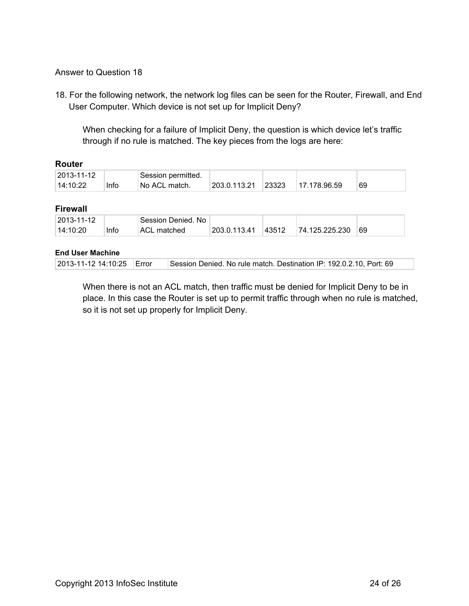### Answer to Question 18

18. For the following network, the network log files can be seen for the Router, Firewall, and End User Computer. Which device is not set up for Implicit Deny?

When checking for a failure of Implicit Deny, the question is which device let's traffic through if no rule is matched. The key pieces from the logs are here:

#### **Router**

| $ 2013 - 11 - 12 $ | <b>Session permitted.</b> |                            |                         |       |              |    |
|--------------------|---------------------------|----------------------------|-------------------------|-------|--------------|----|
| 14:10:22           | Info                      | <sup>⊥</sup> No ACL match. | $^{\circ}$ 203.0.113.21 | 23323 | 17.178.96.59 | 69 |

#### **Firewall**

| 2013-11-12 |      | ' Session Denied. No |              |       |                |    |
|------------|------|----------------------|--------------|-------|----------------|----|
| 14:10:20   | Info | ACL matched          | 203.0.113.41 | 43512 | 74.125.225.230 | 69 |

#### **End User Machine**

| 2013-11-12 14:10:25   Error |  | Session Denied. No rule match. Destination IP: 192.0.2.10, Port: 69 |
|-----------------------------|--|---------------------------------------------------------------------|
|-----------------------------|--|---------------------------------------------------------------------|

When there is not an ACL match, then traffic must be denied for Implicit Deny to be in place. In this case the Router is set up to permit traffic through when no rule is matched, so it is not set up properly for Implicit Deny.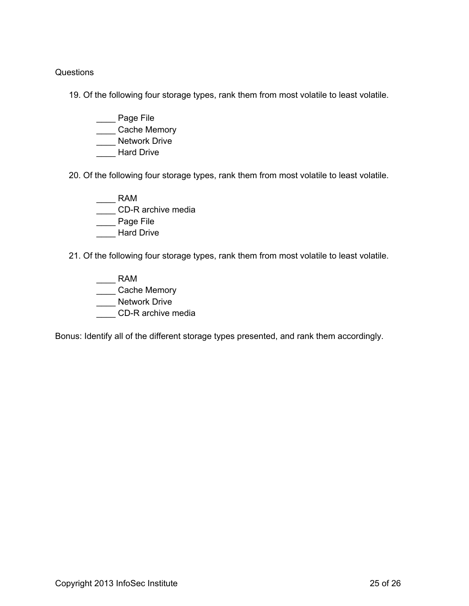19. Of the following four storage types, rank them from most volatile to least volatile.

- \_\_\_\_ Page File
- \_\_\_\_ Cache Memory
- **Network Drive**
- Hard Drive
- 20. Of the following four storage types, rank them from most volatile to least volatile.
	- \_\_\_\_ RAM \_\_\_\_ CD-R archive media
	- \_\_\_\_ Page File
	- \_\_\_\_ Hard Drive
- 21. Of the following four storage types, rank them from most volatile to least volatile.
	- $\overline{\phantom{1}}$  RAM
	- \_\_\_\_ Cache Memory
	- **Network Drive**
	- CD-R archive media

Bonus: Identify all of the different storage types presented, and rank them accordingly.